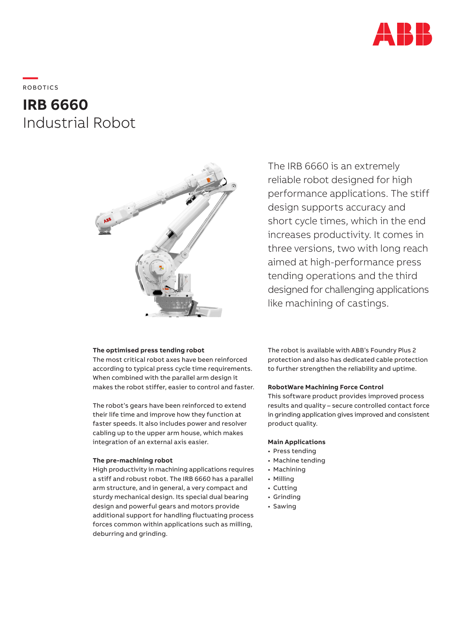

**—**  ROBOTICS

# **IRB 6660** Industrial Robot



## **The optimised press tending robot**

The most critical robot axes have been reinforced according to typical press cycle time requirements. When combined with the parallel arm design it makes the robot stiffer, easier to control and faster.

The robot's gears have been reinforced to extend their life time and improve how they function at faster speeds. It also includes power and resolver cabling up to the upper arm house, which makes integration of an external axis easier.

## **The pre-machining robot**

High productivity in machining applications requires a stiff and robust robot. The IRB 6660 has a parallel arm structure, and in general, a very compact and sturdy mechanical design. Its special dual bearing design and powerful gears and motors provide additional support for handling fluctuating process forces common within applications such as milling, deburring and grinding.

The IRB 6660 is an extremely reliable robot designed for high performance applications. The stiff design supports accuracy and short cycle times, which in the end increases productivity. It comes in three versions, two with long reach aimed at high-performance press tending operations and the third designed for challenging applications like machining of castings.

The robot is available with ABB's Foundry Plus 2 protection and also has dedicated cable protection to further strengthen the reliability and uptime.

# **RobotWare Machining Force Control**

This software product provides improved process results and quality – secure controlled contact force in grinding application gives improved and consistent product quality.

## **Main Applications**

- Press tending
- Machine tending
- Machining
- Milling
- Cutting
- Grinding
- Sawing